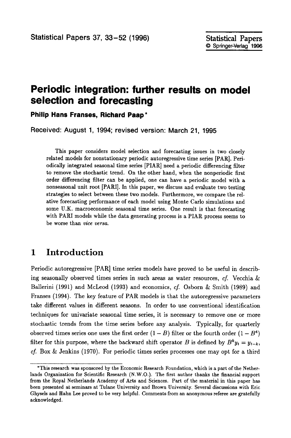# **Periodic integration: further results on model selection and forecasting**

**Philip Hans Franses, Richard Paap\*** 

**Received: August 1, 1994; revised version: March 21, 1995** 

This paper considers model selection and forecasting issues in two closely related models for nonstationary periodic autoregressive time series [PAR]. Periodically integrated seasonal time series [PIAR] need a periodic differencing filter to remove the stochastic trend. On the other hand, when the nonperiodic first order differencing filter can be applied, one can have a periodic model with a nonseasonal unit root [PARI]. In this paper, we discuss and evaluate two testing strategies to select between these two models. Furthermore, we compare the relative forecasting performance of each model using Monte Carlo simulations and some U.K. macroeconomic seasonal time series. One result is that forecasting with PARI models while the data generating process is a PIAR process seems to be worse than *vice versa.* 

### **1 Introduction**

Periodic autoregressive [PAR] time series models have proved to be useful in describing seasonally observed times series in such areas as water resources, *cf.* Vecchia & Ballerini (1991) and McLeod (1993) and economics, *cf.* Osborn & Smith (1989) and Franses (1994). The key feature of PAR models is that the autoregressive parameters take different values in different seasons. In order to use conventional identification techniques for univariate seasonal time series, it is necessary to remove one or more stochastic trends from the time series before any analysis. Typically, for quarterly observed times series one uses the first order  $(1 - B)$  filter or the fourth order  $(1 - B<sup>4</sup>)$ filter for this purpose, where the backward shift operator B is defined by  $B^k y_t = y_{t-k}$ , *cf.* Box & Jenkins (1970). For periodic times series processes one may opt for a third

<sup>\*</sup>This research was sponsored by the Economic Research Foundation, which is a part of the Netherlands Organization for Scientific Research (N.W.O.). The first author thanks the financial support from the Royal Netherlands Academy of Arts and Sciences. Part of the material in this paper has been presented at seminars at Tulane University and Brown University. Several discussions with Eric Ghysels and Hahn Lee proved to be very helpful. Comments from an anonymous referee are gratefully acknowledged.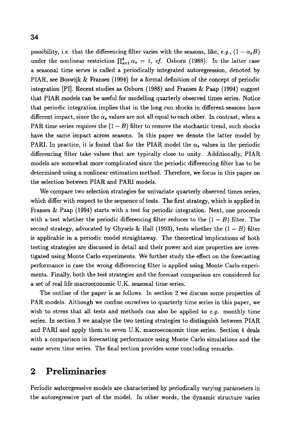possibility, *i.e.* that the differencing filter varies with the seasons, like, *e.g.*,  $(1 - \alpha_s B)$ under the nonlinear restriction  $\prod_{s=1}^{4} \alpha_s = 1$ , *cf.* Osborn (1988). In the latter case a seasonal time series is called a periodically integrated autoregression, denoted by PIAR, see Boswijk & Franses (1994) for a formal definition of the concept of periodic integration [PI]. Recent studies as Osborn (1988) and Franses & Paap (1994) suggest that PIAR models can be useful for modelling quarterly observed times series. Notice that periodic integration implies that in the long run shocks in different seasons have different impact, since the  $\alpha_s$  values are not all equal to each other. In contrast, when a PAR time series requires the  $(1 - B)$  filter to remove the stochastic trend, such shocks have the same impact across seasons. In this paper we denote the latter model by PARI. In practice, it is found that for the PIAR model the  $\alpha_s$  values in the periodic differencing filter take values that are typically close to unity. Additionally, PIAR models are somewhat more complicated since the periodic differencing filter has to be determined using a nonlinear estimation method. Therefore, we focus in this paper on the selection between PIAR and PARI models.

We compare two selection strategies for univariate quarterly observed times series, which differ with respect to the sequence of tests. The first strategy, which is applied in Franses  $&$  Paap (1994) starts with a test for periodic integration. Next, one proceeds with a test whether the periodic differencing filter reduces to the  $(1 - B)$  filter. The second strategy, advocated by Ghysels & Hall (1993), tests whether the  $(1 - B)$  filter is applicable in a periodic model straightaway. The theoretical implications of both testing strategies are discussed in detail and their power and size properties are investigated using Monte Carlo experiments. We further study the effect on the forecasting performance in case the wrong differencing filter is applied using Monte Carlo experiments. Finally, both the test strategies and the forecast comparison are considered for a set of real life macroeconomic U.K. seasonal time series.

The outline of the paper is as follows. In section 2 we discuss some properties of PAR models. Although we confine ourselves to quarterly time series in this paper, we wish to stress that all tests and methods can also be applied to *e.g.* monthly time series. In section 3 we analyse the two testing strategies to distinguish between PIAR and PARI and apply them to seven U.K. macroeconomic time series. Section 4 deals with a comparison in forecasting performance using Monte Carlo simulations and the same seven time series. The final section provides some concluding remarks.

## **2 Preliminaries**

Periodic autoregressive models are characterised by periodically varying parameters in the autoregressive part of the model. In other words, the dynamic structure varies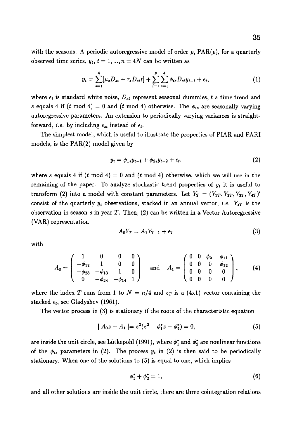$$
y_t = \sum_{s=1}^4 [\mu_s D_{st} + \tau_s D_{st} t] + \sum_{i=1}^p \sum_{s=1}^4 \phi_{is} D_{st} y_{t-i} + \epsilon_t,
$$
 (1)

where  $\epsilon_t$  is standard white noise,  $D_{st}$  represent seasonal dummies, t a time trend and s equals 4 if (t mod 4) = 0 and (t mod 4) otherwise. The  $\phi_{i\alpha}$  are seasonally varying autoregressive parameters. An extension to periodically varying variances is straightforward, *i.e.* by including  $\epsilon_{st}$  instead of  $\epsilon_t$ .

The simplest model, which is useful to illustrate the properties of PIAR and PARI models, is the PAR(2) model given by

$$
y_t = \phi_{1s} y_{t-1} + \phi_{2s} y_{t-2} + \epsilon_t.
$$
 (2)

where s equals 4 if  $(t \mod 4) = 0$  and  $(t \mod 4)$  otherwise, which we will use in the remaining of the paper. To analyze stochastic trend properties of  $y_t$  it is useful to transform (2) into a model with constant parameters. Let  $Y_T = (Y_{1T}, Y_{2T}, Y_{3T}, Y_{4T})'$ consist of the quarterly  $y_t$  observations, stacked in an annual vector, *i.e.*  $Y_{sT}$  is the observation in season s in year  $T$ . Then,  $(2)$  can be written in a Vector Autoregressive (VAR) representation

$$
A_0 Y_T = A_1 Y_{T-1} + \epsilon_T \tag{3}
$$

with

$$
A_0 = \begin{pmatrix} 1 & 0 & 0 & 0 \\ -\phi_{12} & 1 & 0 & 0 \\ -\phi_{23} & -\phi_{13} & 1 & 0 \\ 0 & -\phi_{24} & -\phi_{14} & 1 \end{pmatrix} \text{ and } A_1 = \begin{pmatrix} 0 & 0 & \phi_{21} & \phi_{11} \\ 0 & 0 & 0 & \phi_{22} \\ 0 & 0 & 0 & 0 \\ 0 & 0 & 0 & 0 \end{pmatrix}, \quad (4)
$$

where the index T runs from 1 to  $N = n/4$  and  $\epsilon_T$  is a (4x1) vector containing the stacked  $\epsilon_t$ , see Gladyshev (1961).

The vector process in (3) is stationary if the roots of the characteristic equation

$$
|A_0z - A_1| = z^2(z^2 - \phi_1^*z - \phi_2^*) = 0,
$$
\n(5)

are inside the unit circle, see Lütkepohl (1991), where  $\phi_1^*$  and  $\phi_2^*$  are nonlinear functions of the  $\phi_{is}$  parameters in (2). The process  $y_t$  in (2) is then said to be periodically stationary. When one of the solutions to (5) is equal to one, which implies

$$
\phi_1^* + \phi_2^* = 1,\tag{6}
$$

and all other solutions are inside the unit circle, there are three cointegration relations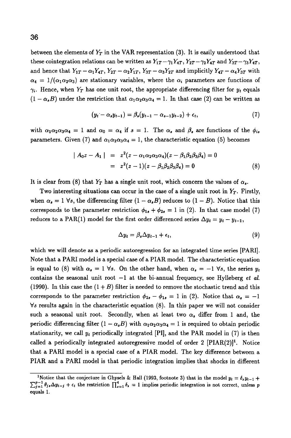between the elements of  $Y_T$  in the VAR representation  $(3)$ . It is easily understood that these cointegration relations can be written as  $Y_{1T}-\gamma_1 Y_{4T}$ ,  $Y_{2T}-\gamma_2 Y_{4T}$  and  $Y_{3T}-\gamma_3 Y_{4T}$ , and hence that  $Y_{1T} - \alpha_1 Y_{4T}$ ,  $Y_{2T} - \alpha_2 Y_{1T}$ ,  $Y_{3T} - \alpha_3 Y_{2T}$  and implicitly  $Y_{4T} - \alpha_4 Y_{3T}$  with  $\alpha_4 = 1/(\alpha_1 \alpha_2 \alpha_3)$  are stationary variables, where the  $\alpha_i$  parameters are functions of  $\gamma_i$ . Hence, when  $Y_T$  has one unit root, the appropriate differencing filter for  $y_t$  equals  $(1 - \alpha_s B)$  under the restriction that  $\alpha_1 \alpha_2 \alpha_3 \alpha_4 = 1$ . In that case (2) can be written as

$$
(y_t - \alpha_s y_{t-1}) = \beta_s (y_{t-1} - \alpha_{s-1} y_{t-2}) + \epsilon_t, \tag{7}
$$

with  $\alpha_1\alpha_2\alpha_3\alpha_4 = 1$  and  $\alpha_0 = \alpha_4$  if  $s = 1$ . The  $\alpha_s$  and  $\beta_s$  are functions of the  $\phi_{is}$ parameters. Given (7) and  $\alpha_1 \alpha_2 \alpha_3 \alpha_4 = 1$ , the characteristic equation (5) becomes

$$
|A_0 z - A_1| = z^2 (z - \alpha_1 \alpha_2 \alpha_3 \alpha_4)(z - \beta_1 \beta_2 \beta_3 \beta_4) = 0
$$
  
=  $z^2 (z - 1)(z - \beta_1 \beta_2 \beta_3 \beta_4) = 0$  (8)

It is clear from (8) that  $Y_T$  has a single unit root, which concern the values of  $\alpha_s$ .

Two interesting situations can occur in the case of a single unit root in  $Y_T$ . Firstly, when  $\alpha_s = 1$   $\forall s$ , the differencing filter  $(1 - \alpha_s B)$  reduces to  $(1 - B)$ . Notice that this corresponds to the parameter restriction  $\phi_{1s} + \phi_{2s} = 1$  in (2). In that case model (7) reduces to a PAR(1) model for the first order differenced series  $\Delta y_t = y_t - y_{t-1}$ ,

$$
\Delta y_t = \beta_s \Delta y_{t-1} + \epsilon_t, \tag{9}
$$

which we will denote as a periodic autoregression for an integrated time series [PARI]. Note that a PARI model is a special case of a PIAR model. The characteristic equation is equal to (8) with  $\alpha_s = 1$   $\forall s$ . On the other hand, when  $\alpha_s = -1$   $\forall s$ , the series  $y_t$ contains the seasonal unit root  $-1$  at the bi-annual frequency, see Hylleberg *et al.* (1990). In this case the  $(1 + B)$  filter is needed to remove the stochastic trend and this corresponds to the parameter restriction  $\phi_{2s} - \phi_{1s} = 1$  in (2). Notice that  $\alpha_s = -1$  $\forall s$  results again in the characteristic equation (8). In this paper we will not consider such a seasonal unit root. Secondly, when at least two  $\alpha_s$  differ from 1 and, the periodic differencing filter  $(1 - \alpha_s B)$  with  $\alpha_1 \alpha_2 \alpha_3 \alpha_4 = 1$  is required to obtain periodic stationarity, we call  $y_t$  periodically integrated [PI], and the PAR model in (7) is then called a periodically integrated autoregressive model of order  $2$  [PIAR(2)]<sup>1</sup>. Notice that a PARI model is a special case of a PIAR model. The key difference between a PIAR and a PARI model is that periodic integration implies that shocks in different

<sup>&</sup>lt;sup>1</sup>Notice that the conjecture in Ghysels & Hall (1993, footnote 3) that in the model  $y_t = \delta_s y_{t-1} +$  $\sum_{j=1}^{p-1} \theta_{j} \Delta y_{t-j} + \epsilon_t$  the restriction  $\prod_{s=1}^{4} \delta_s = 1$  implies periodic integration is not correct, unless p equals 1.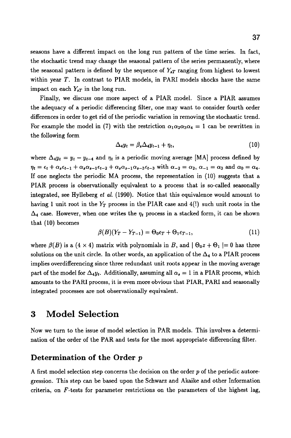seasons have a different impact on the long run pattern of the time series. In fact, the stochastic trend may change the seasonal pattern of the series permanently, where the seasonal pattern is defined by the sequence of  $Y_{sT}$  ranging from highest to lowest within year T. In contrast to PIAR models, in PARI models shocks have the same impact on each  $Y_{\rm sT}$  in the long run.

Finally, we discuss one more aspect of a PIAR model. Since a PIAR assumes the adequacy of a periodic differencing filter, one may want to consider fourth order differences in order to get rid of the periodic variation in removing the stochastic trend. For example the model in (7) with the restriction  $\alpha_1 \alpha_2 \alpha_3 \alpha_4 = 1$  can be rewritten in the following form

$$
\Delta_4 y_t = \beta_s \Delta_4 y_{t-1} + \eta_t, \qquad (10)
$$

where  $\Delta_4 y_t = y_t - y_{t-4}$  and  $\eta_t$  is a periodic moving average [MA] process defined by  $\eta_t = \epsilon_t + \alpha_s \epsilon_{t-1} + \alpha_s \alpha_{s-1} \epsilon_{t-2} + \alpha_s \alpha_{s-1} \alpha_{s-3} \epsilon_{t-3}$  with  $\alpha_{-2} = \alpha_2$ ,  $\alpha_{-1} = \alpha_3$  and  $\alpha_0 = \alpha_4$ . If one neglects the periodic MA process, the representation in (10) suggests that a PIAR process is observationally equivalent to a process that is so-called seasonally integrated, see Hylleberg *et al.* (1990). Notice that this equivalence would amount to having 1 unit root in the  $Y_T$  process in the PIAR case and  $4(!)$  such unit roots in the  $\Delta_4$  case. However, when one writes the  $\eta_t$  process in a stacked form, it can be shown that (10) becomes

$$
\beta(B)(Y_T - Y_{T-1}) = \Theta_0 \epsilon_T + \Theta_1 \epsilon_{T-1},\tag{11}
$$

where  $\beta(B)$  is a  $(4 \times 4)$  matrix with polynomials in B, and  $\beta_0 z + \Theta_1 = 0$  has three solutions on the unit circle. In other words, an application of the  $\Delta_4$  to a PIAR process implies overdifferencing since three redundant unit roots appear in the moving average part of the model for  $\Delta_{4}y_{t}$ . Additionally, assuming all  $\alpha_{s} = 1$  in a PIAR process, which amounts to the PARI process, it is even more obvious that PIAR, PARI and seasonally integrated processes are not observationally equivalent.

### **3 Model Selection**

Now we turn to the issue of model selection in PAR models. This involves a determination of the order of the PAR and tests for the most appropriate differencing filter.

### **Determination of the Order p**

A first model selection step concerns the decision on the order p of the periodic autoregression. This step can be based upon the Schwarz and Akaike and other Information criteria, on F-tests for parameter restrictions on the parameters of the highest lag,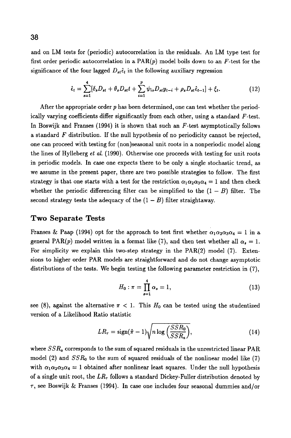and on LM tests for (periodic) autocorrelation in the residuals. An LM type test for first order periodic autocorrelation in a  $\text{PAR}(p)$  model boils down to an F-test for the significance of the four lagged  $D_{st} \hat{\epsilon}_t$  in the following auxiliary regression

$$
\hat{\epsilon}_t = \sum_{s=1}^4 [\delta_s D_{st} + \theta_s D_{st} t + \sum_{i=1}^p \psi_{is} D_{st} y_{t-i} + \rho_s D_{st} \hat{\epsilon}_{t-1}] + \xi_t.
$$
 (12)

After the appropriate order p has been determined, one can test whether the periodically varying coefficients differ significantly from each other, using a standard  $F$ -test. In Boswijk and Franses  $(1994)$  it is shown that such an F-test asymptotically follows a standard  $F$  distribution. If the null hypothesis of no periodicity cannot be rejected. one can proceed with testing for (non)seasonal unit roots in a nonperiodic model along the lines of Hylleberg *et al.* (1990). Otherwise one proceeds with testing for unit roots in periodic models. In case one expects there to be only a single stochastic trend, as we assume in the present paper, there are two possible strategies to follow. The first strategy is that one starts with a test for the restriction  $\alpha_1 \alpha_2 \alpha_3 \alpha_4 = 1$  and then check whether the periodic differencing filter can be simplified to the  $(1 - B)$  filter. The second strategy tests the adequacy of the  $(1 - B)$  filter straightaway.

#### **Two Separate Tests**

Franses & Paap (1994) opt for the approach to test first whether  $\alpha_1\alpha_2\alpha_3\alpha_4 = 1$  in a general PAR(p) model written in a format like (7), and then test whether all  $\alpha_s = 1$ . For simplicity we explain this two-step strategy in the PAR(2) model (7). Extensions to higher order PAR models are straightforward and do not change asymptotic distributions of the tests. We begin testing the following parameter restriction in (7),

$$
H_0: \pi = \prod_{s=1}^4 \alpha_s = 1, \tag{13}
$$

see (8), against the alternative  $\pi < 1$ . This  $H_0$  can be tested using the studentized version of a Likelihood Ratio statistic

$$
LR_{\tau} = \text{sign}(\hat{\pi} - 1) \sqrt{n \log \left( \frac{SSR_0}{SSR_a} \right)}, \tag{14}
$$

where *SSRa* corresponds to the sum of squared residuals in the unrestricted linear PAR model (2) and *SSRo* to the sum of squared residuals of the nonlinear model like (7) with  $\alpha_1\alpha_2\alpha_3\alpha_4 = 1$  obtained after nonlinear least squares. Under the null hypothesis of a single unit root, the  $LR_{\tau}$  follows a standard Dickey-Fuller distribution denoted by  $\tau$ , see Boswijk & Franses (1994). In case one includes four seasonal dummies and/or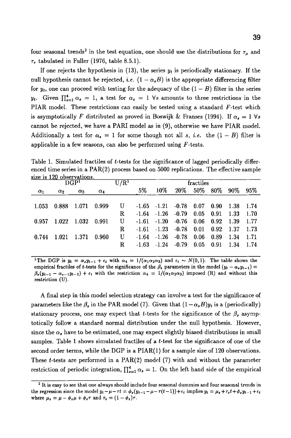four seasonal trends<sup>2</sup> in the test equation, one should use the distributions for  $\tau_{\mu}$  and  $\tau_{\tau}$  tabulated in Fuller (1976, table 8.5.1).

If one rejects the hypothesis in (13), the series *yt* is periodically stationary. If the null hypothesis cannot be rejected, i.e.  $(1 - \alpha_s B)$  is the appropriate differencing filter for  $y_t$ , one can proceed with testing for the adequacy of the  $(1 - B)$  filter in the series  $y_t$ . Given  $\prod_{s=1}^4 \alpha_s = 1$ , a test for  $\alpha_s = 1$   $\forall s$  amounts to three restrictions in the PIAR model. These restrictions can easily be tested using a standard  $F$ -test which is asymptotically F distributed as proved in Boswijk & Franses (1994). If  $\alpha_s = 1 \,\forall s$ cannot be rejected, we have a PARI model as in (9), otherwise we have PIAR model. Additionally a test for  $\alpha_s = 1$  for some though not all s, *i.e.* the  $(1 - B)$  filter is applicable in a few seasons, can also be performed using  $F$ -tests.

Table 1. Simulated fractiles of t-tests for the significance of lagged periodically differenced time series in a  $PAR(2)$  process based on 5000 replications. The effective sample size is 120 observations.

| U/R <sup>1</sup><br>DGP <sup>1</sup> |            |                   |            |    | fractiles |                         |                              |           |             |        |      |
|--------------------------------------|------------|-------------------|------------|----|-----------|-------------------------|------------------------------|-----------|-------------|--------|------|
| $\alpha_1$                           | $\alpha_2$ | $\alpha_3$        | $\alpha_4$ |    | 5%        | 10%                     |                              | 20\% 50\% | 80% 90%     |        | 95%  |
| 1.053                                |            | 0.888 1.071       | 0.999      | U  |           |                         | $-1.65$ $-1.21$ $-0.78$ 0.07 |           | 0.90        | - 1.38 | 1.74 |
|                                      |            |                   |            | R  |           | $-1.64$ $-1.26$ $-0.79$ |                              | 0.05      | 0.91        | -1.33  | 1.70 |
| 0.957                                |            | 1.022 1.032 0.991 |            | U  |           |                         | $-1.61 -1.20 -0.76 0.06$     |           | 0.92        | 1.39   | 1.77 |
|                                      |            |                   |            | R. |           | $-1.61 -1.23$           | $-0.78$                      | 0.01      | $0.92$ 1.37 |        | 1.73 |
| 0.744                                | 1.021      | 1.371             | 0.960      | U  | $-1.64$   | $-1.26$                 | $-0.78$                      | 0.06      | 0.89        | 1.34   | 1.71 |
|                                      |            |                   |            | R. | -1.63     | $-1.24$                 | $-0.79$                      | 0.05      | $0.91$ 1.34 |        | 1.74 |

<sup>1</sup>The DGP is  $y_t = \alpha_s y_{t-1} + \epsilon_t$  with  $\alpha_4 = 1/(\alpha_1 \alpha_2 \alpha_3)$  and  $\epsilon_t \sim N(0, 1)$ . The table shows the empirical fractiles of t-tests for the significance of the  $\beta$ , parameters in the model  $(y_t - \alpha_s y_{t-1}) =$  $\beta_{s}(y_{t-1} - \alpha_{s-1}y_{t-2}) + \epsilon_{t}$  with the restriction  $\alpha_{4} = 1/(\alpha_{1}\alpha_{2}\alpha_{3})$  imposed (R) and without this restriction (U).

A final step in this model selection strategy can involve a test for the significance of parameters like the  $\beta_s$  in the PAR model (7). Given that  $(1 - \alpha_s B)y_t$  is a (periodically) stationary process, one may expect that t-tests for the significance of the  $\beta_{s}$  asymptotically follow a standard normal distribution under the null hypothesis. However, since the  $\alpha_s$  have to be estimated, one may expect slightly biased distributions in small samples. Table 1 shows simulated fractiles of a  $t$ -test for the significance of one of the second order terms, while the DGP is a PIAR(1) for a sample size of 120 observations. These t-tests are performed in a PAR(2) model (7) with and without the parameter restriction of periodic integration,  $\prod_{s=1}^{4} \alpha_s = 1$ . On the left hand side of the empirical

<sup>2</sup> It is easy to see that one always should include four seasonal dummies and four seasonal trends in the regression since the model  $y_t - \mu - \tau t = \phi_s(y_{t-1} - \mu - \tau(t-1)) + \epsilon_t$  implies  $y_t = \mu_s + \tau_s t + \phi_s y_{t-1} + \epsilon_t$ where  $\mu_s = \mu - \phi_s \mu + \phi_s \tau$  and  $\tau_s = (1 - \phi_s) \tau$ .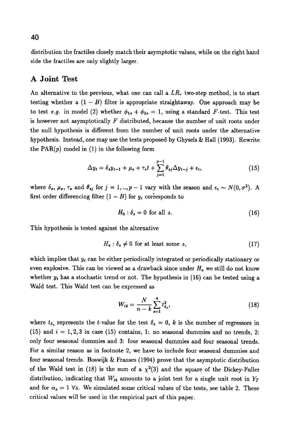distribution the fractiles closely match their asymptotic values, while on the right hand side the fractiles are only slightly larger.

### **A Joint Test**

An alternative to the previous, what one can call a  $LR<sub>r</sub>$  two-step method, is to start testing whether a  $(1 - B)$  filter is appropriate straightaway. One approach may be to test *e.g.* in model (2) whether  $\phi_{1s} + \phi_{2s} = 1$ , using a standard F-test. This test is however not asymptotically  $F$  distributed, because the number of unit roots under the null hypothesis is different from the number of unit roots under the alternative hypothesis. Instead, one may use the tests proposed by Ghysels  $\&$  Hall (1993). Rewrite the  $PAR(p)$  model in (1) in the following form

$$
\Delta y_t = \delta_s y_{t-1} + \mu_s + \tau_s t + \sum_{j=1}^{p-1} \theta_{sj} \Delta y_{t-j} + \epsilon_t, \qquad (15)
$$

where  $\delta_s$ ,  $\mu_s$ ,  $\tau_s$  and  $\theta_{sj}$  for  $j = 1, ..., p - 1$  vary with the season and  $\epsilon_t \sim N(0, \sigma^2)$ . A first order differencing filter  $(1 - B)$  for  $y_t$  corresponds to

$$
H_0: \delta_s = 0 \text{ for all } s. \tag{16}
$$

This hypothesis is tested against the alternative

$$
H_a: \delta_s \neq 0 \text{ for at least some } s,
$$
\n
$$
(17)
$$

which implies that *Yt* can be either periodically integrated or periodically stationary or even explosive. This can be viewed as a drawback since under  $H_a$  we still do not know whether  $y_t$  has a stochastic trend or not. The hypothesis in (16) can be tested using a Wald test. This Wald test can be expressed as

$$
W_{i4} = \frac{N}{n-k} \sum_{s=1}^{4} t_{\delta_s}^2,
$$
\n(18)

where  $t_{\delta}$ , represents the t-value for the test  $\delta_{s} = 0$ , k is the number of regressors in (15) and  $i = 1,2,3$  in case (15) contains, 1: no seasonal dummies and no trends, 2: only four seasonal dummies and 3: four seasonal dummies and four seasonal trends. For a similar reason as in footnote 2, we have to include four seasonal dummies and four seasonal trends. Boswijk  $&$  Franses (1994) prove that the asymptotic distribution of the Wald test in (18) is the sum of a  $\chi^2(3)$  and the square of the Dickey-Fuller distribution, indicating that  $W_{i4}$  amounts to a joint test for a single unit root in  $Y_T$ and for  $\alpha_s = 1$  Vs. We simulated some critical values of the tests, see table 2. These critical values will be used in the empirical part of this paper.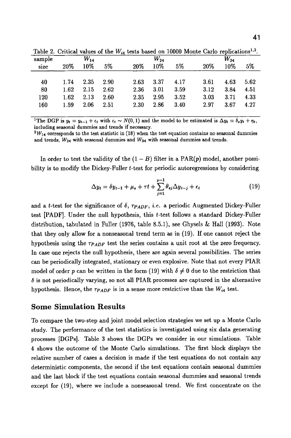| sample |      | $W_{14}$ |      |      | $W_{24}$ |      | $W_{34}$ |      |      |  |
|--------|------|----------|------|------|----------|------|----------|------|------|--|
| size   | 20%  | 10%      | 5%   | 20%  | 10%      | 5%   | 20%      | 10%  | 5%   |  |
|        |      |          |      |      |          |      |          |      |      |  |
| 40     | 1.74 | 2.35     | 2.90 | 2.63 | 3.37     | 4.17 | 3.61     | 4.63 | 5.62 |  |
| 80     | 1.62 | 2.15     | 2.62 | 2.36 | 3.01     | 3.59 | 3.12     | 3.84 | 4.51 |  |
| 120    | 1.62 | 2.13     | 2.60 | 2.35 | 2.95     | 3.52 | 3.03     | 3.71 | 4.33 |  |
| 160    | 1.59 | 2.06     | 2.51 | 2.30 | 2.86     | 3.40 | 2.97     | 3.67 | 4.27 |  |
|        |      |          |      |      |          |      |          |      |      |  |

Table 2. Critical values of the  $W_{i4}$  tests based on 10000 Monte Carlo replications<sup>1,2</sup>.

<sup>1</sup>The DGP is  $y_t = y_{t-1} + \epsilon_t$  with  $\epsilon_t \sim N(0, 1)$  and the model to be estimated is  $\Delta y_t = \delta_s y_t + \eta_t$ , including seasonal dummies and trends if necessary.

 $2W_{14}$  corresponds to the test statistic in (18) when the test equation contains no seasonal dummies and trends,  $W_{24}$  with seasonal dummies and  $W_{34}$  with seasonal dummies and trends.

In order to test the validity of the  $(1 - B)$  filter in a PAR(p) model, another possibility is to modify the Dickey-Fuller t-test for periodic autoregressions by considering

$$
\Delta y_t = \delta y_{t-1} + \mu_s + \tau t + \sum_{j=1}^{p-1} \theta_{sj} \Delta y_{t-j} + \epsilon_t
$$
\n(19)

and a t-test for the significance of  $\delta$ ,  $\tau_{PADE}$ , *i.e.* a periodic Augmented Dickey-Fuller test [PADF]. Under the null hypothesis, this t-test follows a standard Dickey-Fuller distribution, tabulated in Fuller (1976, table 8.5.1), see Ghysels & Hall (1993). Note that they only allow for a nonseasonal trend term as in (19). If one cannot reject the hypothesis using the  $\tau_{PAPF}$  test the series contains a unit root at the zero frequency. In case one rejects the null hypothesis, there are again several possibilities. The series can be periodically integrated, stationary or even explosive. Note that not every PIAR model of order p can be written in the form (19) with  $\delta \neq 0$  due to the restriction that  $\delta$  is not periodically varying, so not all PIAR processes are captured in the alternative hypothesis. Hence, the  $\tau_{PADF}$  is in a sense more restrictive than the  $W_{i4}$  test.

#### **Some Simulation Results**

To compare the two-step and joint model selection strategies we set up a Monte Carlo study. The performance of the test statistics is investigated using six data generating processes [DGPs]. Table 3 shows the DGPs we consider in our simulations. Table 4 shows the outcome of the Monte Carlo simulations. The first block displays the relative number of cases a decision is made if the test equations do not contain any deterministic components, the second if the test equations contain seasonal dummies and the last block if the test equations contain seasonal dummies and seasonal trends except for (19), where we include a nonseasonal trend. We first concentrate on the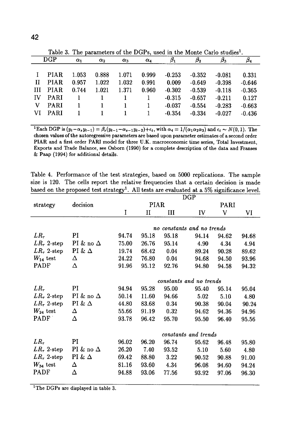|    | Table 5. The parameters of the DOT's, used in the monte Carlo studies. |            |            |            |            |           |           |           |           |  |  |
|----|------------------------------------------------------------------------|------------|------------|------------|------------|-----------|-----------|-----------|-----------|--|--|
|    | DGP                                                                    | $\alpha_1$ | $\alpha_2$ | $\alpha_3$ | $\alpha_4$ | $\beta_1$ | $\beta_2$ | $\beta_3$ | $\beta_4$ |  |  |
|    |                                                                        |            |            |            |            |           |           |           |           |  |  |
|    | PIAR.                                                                  | 1.053      | 0.888      | 1.071      | 0.999      | $-0.253$  | $-0.352$  | $-0.081$  | 0.331     |  |  |
| Н  | <b>PIAR</b>                                                            | 0.957      | 1.022      | 1.032      | 0.991      | 0.009     | $-0.649$  | $-0.398$  | $-0.646$  |  |  |
| Ш  | PIAR.                                                                  | 0.744      | 1.021      | 1.371      | 0.960      | $-0.302$  | $-0.539$  | $-0.118$  | $-0.365$  |  |  |
| IV | <b>PARI</b>                                                            |            |            |            | 1          | $-0.315$  | $-0.657$  | $-0.211$  | 0.127     |  |  |
| V  | <b>PARI</b>                                                            |            | 1          |            |            | $-0.037$  | $-0.554$  | $-0.283$  | $-0.663$  |  |  |
| VI | <b>PARI</b>                                                            |            |            |            | 1          | $-0.354$  | $-0.334$  | $-0.027$  | $-0.436$  |  |  |
|    |                                                                        |            |            |            |            |           |           |           |           |  |  |

Table 3. The parameters of the DGPs, used in the Monte Carlo studies<sup>1</sup>

<sup>1</sup>Each DGP is  $(y_t-\alpha_s y_{t-1}) = \beta_s(y_{t-1}-\alpha_{s-1}y_{t-2})+\epsilon_t$ , with  $\alpha_4 = 1/(\alpha_1\alpha_2\alpha_3)$  and  $\epsilon_t \sim N(0, 1)$ . The chosen values of the autoregressive parameters are based upon parameter estimates of a second order PIAR and a first order PARI model for three U.K. macroeconomic time series, Total Investment, Exports and Trade Balance, see Osborn (1990) for a complete description of the data and Franses & Paap (1994) for additional details.

Table 4. Performance of the test strategies, based on 5000 replications. The sample size is 120. The cells report the relative frequencies that a certain decision is made based on the proposed test strategy<sup>1</sup>. All tests are evaluated at a 5% significance level.

|                    |                  |       | DGP         |       |                            |       |       |  |  |  |
|--------------------|------------------|-------|-------------|-------|----------------------------|-------|-------|--|--|--|
| strategy           | decision         |       | <b>PIAR</b> |       |                            | PARI  |       |  |  |  |
|                    |                  | I     | П           | Ш     | IV                         | V     | VI    |  |  |  |
|                    |                  |       |             |       |                            |       |       |  |  |  |
|                    |                  |       |             |       | no constants and no trends |       |       |  |  |  |
| $LR_{\tau}$        | PI               | 94.74 | 95.18       | 95.18 | 94.14                      | 94.62 | 94.68 |  |  |  |
| $LR_{\tau}$ 2-step | PI & no $\Delta$ | 75.00 | 26.76       | 95.14 | 4.90                       | 4.34  | 4.94  |  |  |  |
| $LR_{\tau}$ 2-step | PI & $\Delta$    | 19.74 | 68.42       | 0.04  | 89.24                      | 90.28 | 89.62 |  |  |  |
| $W_{14}$ test      | Δ                | 24.22 | 76.80       | 0.04  | 94.68                      | 94.50 | 93.96 |  |  |  |
| <b>PADF</b>        | Δ                | 91.96 | 95.12       | 92.76 | 94.80                      | 94.58 | 94.32 |  |  |  |
|                    |                  |       |             |       | constants and no trends    |       |       |  |  |  |
| $LR_{\tau}$        | PI               | 94.94 | 95.28       | 95.00 | 95.40                      | 95.14 | 95.04 |  |  |  |
| $LR_{\tau}$ 2-step | PI & no $\Delta$ | 50.14 | 11.60       | 94.66 | 5.02                       | 5.10  | 4.80  |  |  |  |
| $LR_{\tau}$ 2-step | PI & $\Delta$    | 44.80 | 83.68       | 0.34  | 90.38                      | 90.04 | 90.24 |  |  |  |
| $W_{24}$ test      | Δ                | 55.66 | 91.19       | 0.32  | 94.62                      | 94.36 | 94.96 |  |  |  |
| PADF               | Δ                | 93.78 | 96.42       | 95.70 | 95.50                      | 96.40 | 95.56 |  |  |  |
|                    |                  |       |             |       | constants and trends       |       |       |  |  |  |
| $LR_{\tau}$        | PI               | 96.02 | 96.20       | 96.74 | 95.62                      | 96.48 | 95.80 |  |  |  |
| $LR_{\tau}$ 2-step | PI & no $\Delta$ | 26.20 | 7.40        | 93.52 | 5.10                       | 5.60  | 4.80  |  |  |  |
| $LR_{\tau}$ 2-step | PI & $\Delta$    | 69.42 | 88.80       | 3.22  | 90.52                      | 90.88 | 91.00 |  |  |  |
| $W_{34}$ test      | Δ                | 81.16 | 93.60       | 4.34  | 96.08                      | 94.60 | 94.24 |  |  |  |
| PADF               | Δ                | 94.88 | 93.06       | 77.56 | 93.92                      | 97.06 | 96.30 |  |  |  |
|                    |                  |       |             |       |                            |       |       |  |  |  |

<sup>1</sup>The DGPs are displayed in table 3.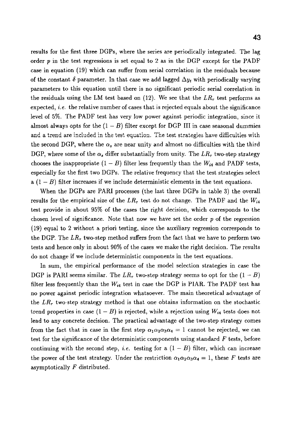results for the first three DGPs, where the series are periodically integrated. The lag order p in the test regressions is set equal to 2 as in the DGP except for the PADF case in equation (19) which can suffer from serial correlation in the residuals because of the constant  $\delta$  parameter. In that case we add lagged  $\Delta y_t$  with periodically varying parameters to this equation until there is no significant periodic serial correlation in the residuals using the LM test based on  $(12)$ . We see that the  $LR<sub>\tau</sub>$  test performs as expected, *i.e.* the relative number of cases that is rejected equals about the significance level of 5%. The PADF test has very low power against periodic integration, since it almost always opts for the  $(1 - B)$  filter except for DGP III in case seasonal dummies and a trend are included in the test equation. The test strategies have difficulties with the second DGP, where the  $\alpha_s$  are near unity and almost no difficulties with the third DGP, where some of the  $\alpha_s$  differ substantially from unity. The  $LR_{\tau}$  two-step strategy chooses the inappropriate  $(1 - B)$  filter less frequently than the  $W_{i4}$  and PADF tests, especially for the first two DGPs. The relative frequency that the test strategies select a  $(1 - B)$  filter increases if we include deterministic elements in the test equations.

When the DGPs are PARI processes (the last three DGPs in table 3) the overall results for the empirical size of the  $LR<sub>r</sub>$  test do not change. The PADF and the  $W_{i4}$ test provide in about 959{ of the cases the right decision, which corresponds to the chosen level of significance. Note that now we have set the order  $p$  of the regression  $(19)$  equal to 2 without a priori testing, since the auxiliary regression corresponds to the DGP. The  $LR_{\tau}$  two-step method suffers from the fact that we have to perform two tests and hence only in about 90% of the cases we make the right decision. The results do not change if we include deterministic components in the test equations.

In sum, the empirical performance of the model selection strategies in case the DGP is PARI seems similar. The  $LR_{\tau}$  two-step strategy seems to opt for the  $(1 - B)$ filter less frequently than the  $W_{i4}$  test in case the DGP is PIAR. The PADF test has no power against periodic integration whatsoever. The main theoretical advantage of the *LR~* two-step strategy method is that one obtains information on the stochastic trend properties in case  $(1 - B)$  is rejected, while a rejection using  $W_{i4}$  tests does not lead to any concrete decision. The practical advantage of the two-step strategy comes from the fact that in case in the first step  $\alpha_1 \alpha_2 \alpha_3 \alpha_4 = 1$  cannot be rejected, we can test for the significance of the deterministic components using standard  $F$  tests, before continuing with the second step, *i.e.* testing for a  $(1 - B)$  filter, which can increase the power of the test strategy. Under the restriction  $\alpha_1 \alpha_2 \alpha_3 \alpha_4 = 1$ , these F tests are asymptotically  $F$  distributed.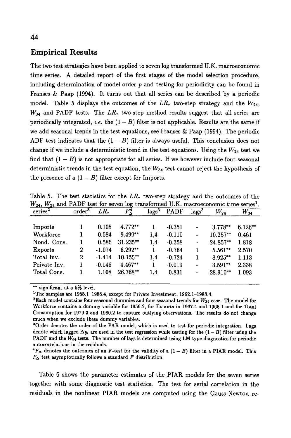### Empirical Results

The two test strategies have been applied to seven log transformed U.K. macroeconomic time series. A detailed report of the first stages of the model selection procedure, including determination of model order  $p$  and testing for periodicity can be found in Franses & Paap (1994). It turns out that all series can be described by a periodic model. Table 5 displays the outcomes of the  $LR<sub>r</sub>$  two-step strategy and the  $W_{24}$ ,  $W_{34}$  and PADF tests. The  $LR_{\tau}$  two-step method results suggest that all series are periodically integrated, i.e. the  $(1 - B)$  filter is not applicable. Results are the same if we add seasonal trends in the test equations, see Franses & Paap (1994). The periodic ADF test indicates that the  $(1 - B)$  filter is always useful. This conclusion does not change if we include a deterministic trend in the test equations. Using the  $W_{24}$  test we find that  $(1 - B)$  is not appropriate for all series. If we however include four seasonal deterministic trends in the test equation, the  $W_{34}$  test cannot reject the hypothesis of the presence of a  $(1 - B)$  filter except for Imports.

| $W_{24}$ , $W_{34}$ and PADF test for seven log transformed U.K. macroeconomic time series <sup>1</sup> . |                    |          |                    |                   |             |                          |            |           |
|-----------------------------------------------------------------------------------------------------------|--------------------|----------|--------------------|-------------------|-------------|--------------------------|------------|-----------|
| series <sup>2</sup>                                                                                       | order <sup>3</sup> | $LR_r$   | $F^{\bm 4}_\Delta$ | lags <sup>3</sup> | <b>PADF</b> | $\rm{lags^3}$            | $W_{24}$   | $W_{34}$  |
| Imports                                                                                                   |                    | 0.105    | 4.772**            |                   | $-0.351$    | $\overline{\phantom{0}}$ | 3.778**    | $6.126**$ |
| Workforce                                                                                                 |                    | 0.584    | $9.499**$          | 1.4               | $-0.110$    | ۰                        | 10.257**   | 0.461     |
| Nond. Cons.                                                                                               |                    | 0.586    | $31.235**$         | 1,4               | $-0.358$    | $\overline{\phantom{a}}$ | 24.857**   | 1.818     |
| Exports                                                                                                   | 2                  | $-1.074$ | $6.292**$          | 1                 | $-0.764$    | 1                        | $5.561***$ | 2.570     |
| Total Inv.                                                                                                | $\boldsymbol{2}$   | $-1.414$ | $10.155***$        | 1.4               | $-0.724$    | 1                        | $8.925**$  | 1.113     |
| Private Inv.                                                                                              | 1                  | $-0.146$ | $4.467**$          | 1                 | $-0.019$    | -                        | $3.591**$  | 2.338     |
| Total Cons.                                                                                               |                    | 1.108    | 26.768**           | 1.4               | 0.831       | -                        | 28.910**   | 1.093     |

Table 5. The test statistics for the  $LR<sub>r</sub>$  two-step strategy and the outcomes of the

\*\* significant at a 5% level.

<sup>1</sup>The samples are 1955.1-1988.4, except for Private Investment, 1962.1-1988.4.

 ${}^4F_{\Delta}$  denotes the outcomes of an F-test for the validity of a (1 – B) filter in a PIAR model. This  $F_{\Delta}$  test asymptotically follows a standard F distribution.

Table 6 shows the parameter estimates of the PIAR models for the seven series together with some diagnostic test statistics. The test for serial correlation in the residuals in the nonlinear PIAR models are computed using the Gauss-Newton re-

<sup>&</sup>lt;sup>2</sup>Each model contains four seasonal dummies and four seasonal trends for  $W_{34}$  case. The model for Workforce contains a dummy variable for 1959.2, for Exports in 1967.4 and 1968.1 and for Total Consumption for 1979.3 and 1980.2 to capture outlying observations. The results do not change much when we exclude these dummy variables.

<sup>&</sup>lt;sup>3</sup>Order denotes the order of the PAR model, which is used to test for periodic integration. Lags denote which lagged  $\Delta y_t$  are used in the test regression while testing for the  $(1 - B)$  filter using the PADF and the  $W_{i4}$  tests. The number of lags is determined using LM type diagnostics for periodic autocorrelations in the residuals.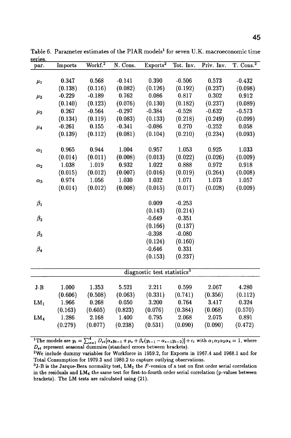| sel les.        |          |                          |          |                                         |           |            |                 |
|-----------------|----------|--------------------------|----------|-----------------------------------------|-----------|------------|-----------------|
| par.            | Imports  | $\sqrt{\text{Workf.}^2}$ | N. Cons. | Exports <sup>2</sup>                    | Tot. Inv. | Priv. Inv. | $T.$ Cons. $^2$ |
|                 |          |                          |          |                                         |           |            |                 |
| $\mu_1$         | 0.347    | 0.568                    | $-0.141$ | 0.390                                   | $-0.506$  | 0.573      | $-0.432$        |
|                 | (0.138)  | (0.116)                  | (0.082)  | (0.126)                                 | (0.192)   | (0.237)    | (0.098)         |
| $\mu_2$         | $-0.229$ | $-0.189$                 | 0.762    | 0.086                                   | 0.817     | 0.302      | 0.912           |
|                 | (0.140)  | (0.123)                  | (0.076)  | (0.130)                                 | (0.182)   | (0.237)    | (0.089)         |
| $\mu_3$         | 0.267    | $-0.564$                 | $-0.297$ | $-0.384$                                | $-0.528$  | $-0.632$   | $-0.573$        |
|                 | (0.134)  | (0.119)                  | (0.083)  | (0.133)                                 | (0.218)   | (0.249)    | (0.099)         |
| $\mu_4$         | $-0.261$ | 0.155                    | $-0.341$ | $-0.086$                                | 0.270     | $-0.252$   | 0.058           |
|                 | (0.139)  | (0.112)                  | (0.081)  | (0.104)                                 | (0.210)   | (0.234)    | (0.093)         |
| $\alpha_1$      | 0.965    | 0.944                    | 1.004    | 0.957                                   | 1.053     | 0.925      | 1.033           |
|                 | (0.014)  | (0.011)                  | (0.008)  | (0.013)                                 | (0.022)   | (0.026)    | (0.009)         |
| $\alpha_2$      | 1.038    | 1.019                    | 0.932    | 1.022                                   | 0.888     | 0.972      | 0.918           |
|                 | (0.015)  | (0.012)                  | (0.007)  | (0.016)                                 | (0.019)   | (0.264)    | (0.008)         |
| $\alpha_3$      | 0.974    | 1.056                    | 1.030    | 1.032                                   | 1.071     | 1.073      | 1.057           |
|                 | (0.014)  | (0.012)                  | (0.008)  | (0.015)                                 | (0.017)   | (0.028)    | (0.009)         |
| $\beta_1$       |          |                          |          | 0.009                                   | $-0.253$  |            |                 |
|                 |          |                          |          | (0.143)                                 | (0.214)   |            |                 |
| $\beta_2$       |          |                          |          | $-0.649$                                | $-0.351$  |            |                 |
|                 |          |                          |          | (0.166)                                 | (0.137)   |            |                 |
| $\beta_3$       |          |                          |          | $-0.398$                                | $-0.080$  |            |                 |
|                 |          |                          |          | (0.124)                                 | (0.160)   |            |                 |
| $\beta_4$       |          |                          |          | $-0.646$                                | 0.331     |            |                 |
|                 |          |                          |          | (0.153)                                 | (0.237)   |            |                 |
|                 |          |                          |          | diagnostic test statistics <sup>3</sup> |           |            |                 |
|                 |          |                          |          |                                         |           |            |                 |
| $J-B$           | 1.000    | 1.353                    | 5.521    | 2.211                                   | 0.599     | 2.067      | 4.280           |
|                 | (0.606)  | (0.508)                  | (0.063)  | (0.331)                                 | (0.741)   | (0.356)    | (0.112)         |
| $LM_1$          | 1.966    | 0.268                    | 0.050    | 3.200                                   | 0.764     | 3.417      | 0.324           |
|                 | (0.163)  | (0.605)                  | (0.823)  | (0.076)                                 | (0.384)   | (0.068)    | (0.570)         |
| LM <sub>4</sub> | 1.286    | 2.168                    | 1.400    | 0.795                                   | 2.068     | 2.075      | 0.891           |
|                 | (0.279)  | (0.077)                  | (0.238)  | (0.531)                                 | (0.090)   | (0.090)    | (0.472)         |
|                 |          |                          |          |                                         |           |            |                 |

Table 6. Parameter estimates of the PIAR models<sup>1</sup> for seven U.K. macroeconomic time series.

<sup>1</sup>The models are  $y_t = \sum_{i=1}^4 D_{st}[\alpha_s y_{t-1} + \mu_s + \beta_s (y_{t-1} - \alpha_{s-1} y_{t-2})] + \epsilon_t$  with  $\alpha_1 \alpha_2 \alpha_3 \alpha_4 = 1$ , where  $D_{st}$  represent seasonal dummies (standard errors between brackets).

<sup>2</sup>We include dummy variables for Workforce in 1959.2, for Exports in 1967.4 and 1968.1 and for Total Consumption for 1979.3 and 1980.2 to capture outlying observations.

<sup>3</sup>J-B is the Jarque-Bera normality test,  $LM_1$  the F-version of a test on first order serial correlation in the residuals and LM4 the same test for first-to-fourth order serial correlation (p-values between brackets). The LM tests are calculated using (21).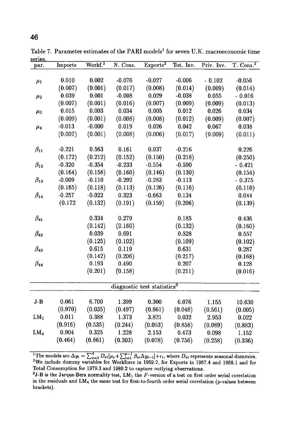| 3CLIC3          |          |                     |          |                                         |           |            |                 |
|-----------------|----------|---------------------|----------|-----------------------------------------|-----------|------------|-----------------|
| par.            | Imports  | Workf. <sup>2</sup> | N. Cons. | Exports <sup>2</sup>                    | Tot. Inv. | Priv. Inv. | $T.$ Cons. $^2$ |
|                 |          |                     |          |                                         |           |            |                 |
| $\mu_1$         | 0.010    | 0.002               | $-0.076$ | $-0.027$                                | $-0.006$  | $-0.102$   | $-0.056$        |
|                 | (0.007)  | (0.001)             | (0.017)  | (0.008)                                 | (0.014)   | (0.009)    | (0.014)         |
| $\mu_2$         | 0.039    | 0.001               | $-0.008$ | 0.029                                   | $-0.038$  | 0.055      | $-0.016$        |
|                 | (0.007)  | (0.001)             | (0.016)  | (0.007)                                 | (0.009)   | (0.009)    | (0.013)         |
| $\mu_3$         | 0.015    | 0.003               | 0.034    | 0.005                                   | 0.012     | 0.026      | 0.034           |
|                 | (0.009)  | (0.001)             | (0.008)  | (0.008)                                 | (0.012)   | (0.009)    | (0.007)         |
| $\mu_4$         | $-0.013$ | $-0.000$            | 0.019    | 0.026                                   | 0.042     | 0.067      | 0.038           |
|                 | (0.007)  | (0.001)             | (0.008)  | (0.006)                                 | (0.017)   | (0.009)    | (0.011)         |
| $\beta_{11}$    | $-0.221$ | 0.563               | 0.161    | 0.037                                   | $-0.216$  |            | 0.226           |
|                 | (0.172)  | (0.212)             | (0.152)  | (0.150)                                 | (0.218)   |            | (0.250)         |
| $\beta_{12}$    | $-0.320$ | $-0.354$            | $-0.233$ | $-0.554$                                | $-0.590$  |            | $-0.421$        |
|                 | (0.164)  | (0.158)             | (0.160)  | (0.146)                                 | (0.130)   |            | (0.154)         |
| $\beta_{13}$    | $-0.009$ | $-0.110$            | $-0.292$ | $-0.283$                                | $-0.113$  |            | $-0.375$        |
|                 | (0.165)  | (0.118)             | (0.113)  | (0.126)                                 | (0.116)   |            | (0.110)         |
| $\beta_{14}$    | $-0.257$ | $-0.022$            | 0.323    | $-0.663$                                | 0.134     |            | 0.044           |
|                 | (0.172)  | (0.132)             | (0.191)  | (0.159)                                 | (0.206)   |            | (0.139)         |
| $\beta_{41}$    |          | 0.334               | 0.279    |                                         | 0.185     |            | 0.436           |
|                 |          | (0.142)             | (0.160)  |                                         | (0.132)   |            | (0.160)         |
| $\beta_{42}$    |          | 0.039               | 0.691    |                                         | 0.528     |            | 0.557           |
|                 |          | (0.125)             | (0.102)  |                                         | (0.109)   |            | (0.102)         |
| $\beta_{43}$    |          | 0.615               | 0.119    |                                         | 0.631     |            | 0.287           |
|                 |          | (0.142)             | (0.206)  |                                         | (0.217)   |            | (0.168)         |
| $\beta_{44}$    |          | 0.193               | 0.490    |                                         | 0.207     |            | 0.128           |
|                 |          | (0.201)             | (0.158)  |                                         | (0.211)   |            | (0.016)         |
|                 |          |                     |          | diagnostic test statistics <sup>3</sup> |           |            |                 |
|                 |          |                     |          |                                         |           |            |                 |
| $J-B$           | 0.061    | 6.700               | 1.399    | 0.300                                   | 6.076     | 1.155      | 10.630          |
|                 | (0.970)  | (0.035)             | (0.497)  | (0.861)                                 | (0.048)   | (0.561)    | (0.005)         |
| LM <sub>1</sub> | 0.011    | 0.388               | 1.373    | 3.821                                   | 0.032     | 2.953      | 0.022           |
|                 | (0.916)  | (0.535)             | (0.244)  | (0.053)                                 | (0.858)   | (0.089)    | (0.883)         |
| LM <sub>4</sub> | 0.904    | 0.325               | 1.228    | 2.153                                   | 0.473     | 0.098      | 1.152           |
|                 | (0.464)  | (0.861)             | (0.303)  | (0.078)                                 | (0.756)   | (0.258)    | (0.336)         |
|                 |          |                     |          |                                         |           |            |                 |

Table 7. Parameter estimates of the PARI models<sup>1</sup> for seven U.K. macroeconomic time series.

<sup>1</sup>The models are  $\Delta y_t = \sum_{s=1}^4 D_{st}[\mu_s + \sum_{i=1}^{p-1} \beta_{is} \Delta y_{t-i}] + \epsilon_t$ , where  $D_{st}$  represents seasonal dummies. ~We include dummy variables for Workforce in 1959.2, for Exports in 1967.4 and 1968.1 and for Total Consumption for 1979.3 and 1980.2 to capture outlying observations.

 $3J-B$  is the Jarque-Bera normality test,  $LM_1$  the F-version of a test on first order serial correlation in the residuals and LM4 the same test for first-to-fourth order serial correlation (p-values between brackets).

 $\overline{a}$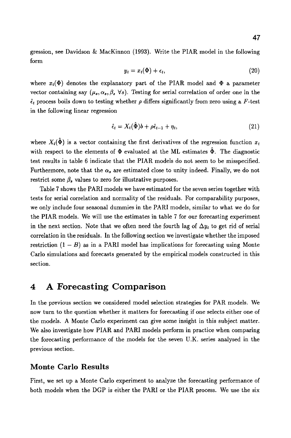gression, see Davidson & MacKinnon (1993). Write the PIAR model in the following form

$$
y_t = x_t(\Phi) + \epsilon_t, \tag{20}
$$

where  $x_t(\Phi)$  denotes the explanatory part of the PIAR model and  $\Phi$  a parameter vector containing say  $(\mu_s, \alpha_s, \beta_s \,\forall s)$ . Testing for serial correlation of order one in the  $\hat{\epsilon}_t$  process boils down to testing whether  $\rho$  differs significantly from zero using a F-test in the following linear regression

$$
\hat{\epsilon}_t = X_t(\hat{\Phi})b + \rho \hat{\epsilon}_{t-1} + \eta_t, \qquad (21)
$$

where  $X_t(\hat{\Phi})$  is a vector containing the first derivatives of the regression function  $x_t$ with respect to the elements of  $\Phi$  evaluated at the ML estimates  $\ddot{\Phi}$ . The diagnostic test results in table 6 indicate that the PIAR models do not seem to be misspecified. Furthermore, note that the  $\alpha_s$  are estimated close to unity indeed. Finally, we do not restrict some  $\beta_s$  values to zero for illustrative purposes.

Table 7 shows the PARI models we have estimated for the seven series together with tests for serial correlation and normality of the residuals. For comparability purposes, we only include four seasonal dummies in the PARI models, similar to what we do for the PIAR models. We will use the estimates in table 7 for our forecasting experiment in the next section. Note that we often need the fourth lag of  $\Delta y_t$  to get rid of serial correlation in the residuals. In the following section we investigate whether the imposed restriction  $(1 - B)$  as in a PARI model has implications for forecasting using Monte Carlo simulations and forecasts generated by the empirical models constructed in this section.

### **4 A Forecasting Comparison**

In the previous section we considered model selection strategies for PAR models. We now turn to the question whether it matters for forecasting if one selects either one of the models. A Monte Carlo experiment can give some insight in this subject matter. We also investigate how PIAR and PARI models perform in practice when comparing the forecasting performance of the models for the seven U.K. series analysed in the previous section.

### Monte Carlo Results

First, we set up a Monte Carlo experiment to analyze the forecasting performance of both models when the DGP is either the PARI or the PIAR process. We use the six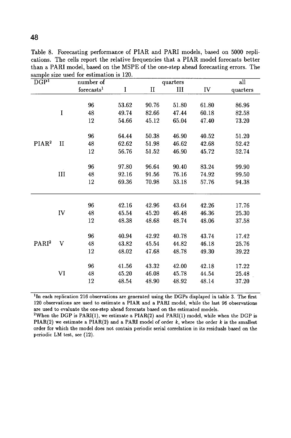| DGP <sup>T</sup>  |              | number of              |         |              | quarters |       | all      |
|-------------------|--------------|------------------------|---------|--------------|----------|-------|----------|
|                   |              | forecasts <sup>1</sup> | $\bf I$ | $\mathbf{I}$ | III      | IV    | quarters |
|                   |              |                        |         |              |          |       |          |
|                   |              | 96                     | 53.62   | 90.76        | 51.80    | 61.80 | 86.96    |
|                   | $\bf I$      | 48                     | 49.74   | 82.66        | 47.44    | 60.18 | 82.58    |
|                   |              | 12                     | 54.66   | 45.12        | 65.04    | 47.40 | 73.20    |
|                   |              |                        |         |              |          |       |          |
|                   |              | 96                     | 64.44   | 50.38        | 46.90    | 40.52 | 51.20    |
| PIAR <sup>2</sup> | $\mathbf{I}$ | 48                     | 62.62   | 51.98        | 46.62    | 42.68 | 52.42    |
|                   |              | 12                     | 56.76   | 51.52        | 46.90    | 45.72 | 52.74    |
|                   |              |                        |         |              |          |       |          |
|                   |              | 96                     | 97.80   | 96.64        | 90.40    | 83.24 | 99.90    |
|                   | III          | 48                     | 92.16   | 91.56        | 76.16    | 74.92 | 99.50    |
|                   |              | 12                     | 69.36   | 70.98        | 53.18    | 57.76 | 94.38    |
|                   |              |                        |         |              |          |       |          |
|                   |              |                        |         |              |          |       |          |
|                   |              | 96                     | 42.16   | 42.96        | 43.64    | 42.26 | 17.76    |
|                   | ${\rm IV}$   | 48                     | 45.54   | 45.20        | 46.48    | 46.36 | 25.30    |
|                   |              | 12                     | 48.38   | 48.68        | 48.74    | 48.06 | 37.58    |
|                   |              | 96                     | 40.94   | 42.92        | 40.78    | 43.74 | 17.42    |
| PARI <sup>2</sup> | V            | 48                     | 43.82   | 45.54        | 44.82    | 46.18 |          |
|                   |              |                        |         |              |          |       | 25.76    |
|                   |              | 12                     | 48.02   | 47.68        | 48.78    | 49.30 | 39.22    |
|                   |              | 96                     | 41.56   | 43.32        | 42.00    | 42.18 | 17.22    |
|                   | VI           | 48                     | 45.20   | 46.08        | 45.78    | 44.54 | 25.48    |
|                   |              | 12                     | 48.54   | 48.90        | 48.92    | 48.14 | 37.20    |
|                   |              |                        |         |              |          |       |          |

Table 8. Forecasting performance of PIAR and PARI models, based on 5000 replications. The cells report the relative frequencies that a PIAR model forecasts better than a PARI model, based on the MSPE of the one-step ahead forecasting errors. The sample size used for estimation is 120.

<sup>1</sup>In each replication 216 observations are generated using the DGPs displayed in table 3. The first 120 observations are used to estimate a PIAR and a PARI model, while the last 96 observations are used to evaluate the one-step ahead forecasts based on the estimated models.

<sup>2</sup>When the DGP is PARI(1), we estimate a PIAR(2) and PARI(1) model, while when the DGP is PIAR(2) we estimate a PIAR(2) and a PARI model of order  $k$ , where the order  $k$  is the smallest order for which the model does not contain periodic serial correlation in its residuals based on the periodic LM test, see (12).

### 48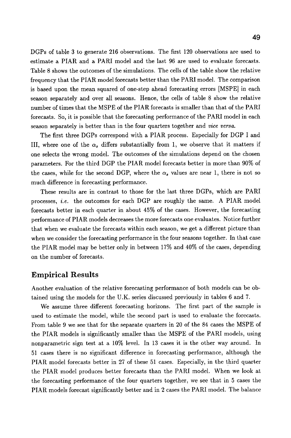DGPs of table 3 to generate 216 observations. The first 120 observations are used to estimate a PIAR and a PARI model and the last 96 are used to evaluate forecasts. Table 8 shows the outcomes of the simulations. The cells of the table show the relative frequency that the PIAR model forecasts better than the PARI model. The comparison is based upon the mean squared of one-step ahead forecasting errors [MSPE] in each season separately and over all seasons. Hence, the cells of table 8 show the relative number of times that the MSPE of the PIAR forecasts is smaller than that of the PARI forecasts. So, it is possible that the forecasting performance of the PARI model in each season separately is better than in the four quarters together and *vice versa.* 

The first three DGPs correspond with a PIAR process. Especially for DGP I and III, where one of the  $\alpha_s$  differs substantially from 1, we observe that it matters if one selects the wrong model. The outcomes of the simulations depend on the chosen parameters. For the third DGP the PIAR model forecasts better in more than 90% of the cases, while for the second DGP, where the  $\alpha_s$  values are near 1, there is not so much difference in forecasting performance.

These results are in contrast to those for the last three DGPs, which are PARI processes, *i.e.* the outcomes for each DGP are roughly the same. A PIAR model forecasts better in each quarter in about 45% of the cases. However, the forecasting performance of PIAR models decreases the more forecasts one evaluates. Notice further that when we evaluate the forecasts within each season, we get a different picture than when we consider the forecasting performance in the four seasons together. In that case the PIAR model may be better only in between 17% and 40% of the cases, depending on the number of forecasts.

### **Empirical Results**

Another evaluation of the relative forecasting performance of both models can be obtained using the models for the U.K. series discussed previously in tables 6 and 7.

We assume three different forecasting horizons. The first part of the sample is used to estimate the model, while the second part is used to evaluate the forecasts. From table 9 we see that for the separate quarters in 20 of the 84 cases the MSPE of the PIAR models is significantly smaller than the MSPE of the PARI models, using nonparametric sign test at a 10% level. In 13 cases it is the other way around. In 51 cases there is no significant difference in forecasting performance, although the PIAR model forecasts better in 27 of these 51 cases. Especially, in the third quarter the PIAR model produces better forecasts than the PARI model. When we look at the forecasting performance of the four quarters together, we see that in 5 cases the PIAR models forecast significantly better and in 2 cases the PARI model. The balance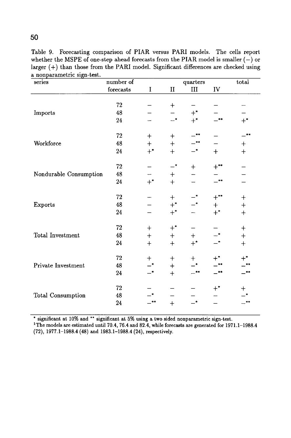Table 9. Forecasting comparison of PIAR versus PARI models. The cells report whether the MSPE of one-step ahead forecasts from the PIAR model is smaller  $(-)$  or larger (+) than those from the PARI model. Significant differences are checked using a nonparametric **sign-test.** 

| series                 | number of   |                  |                  | quarters         |                  | total          |
|------------------------|-------------|------------------|------------------|------------------|------------------|----------------|
|                        | forecasts   | $\rm I$          | $\rm II$         | $\rm III$        | IV               |                |
|                        |             |                  |                  |                  |                  |                |
|                        | 72          |                  | $\ddag$          |                  |                  |                |
| Imports                | 48          |                  |                  | $+^*$            |                  |                |
|                        | $\sqrt{24}$ |                  | $-*$             | $+$ <sup>*</sup> | $***$            | $+^*$          |
|                        | $72\,$      | $\ddot{}$        | $\ddag$          | **               |                  |                |
| Workforce              | 48          | $+$              | $\! + \!$        | -**              |                  | $\mathrm{+}$   |
|                        | 24          | $+$ *            | $\ddag$          | $-^*$            | $^{+}$           | $+$            |
|                        | $\sqrt{72}$ |                  | $-^*$            | $\ddot{}$        | $+$ **           |                |
| Nondurable Consumption | 48          |                  | ┿                |                  |                  |                |
|                        | ${\bf 24}$  | $+^*$            | $\, +$           |                  | **               |                |
|                        | 72          |                  | $^{+}$           |                  | $+***$           | $\ddag$        |
| Exports                | 48          |                  | $+$ <sup>*</sup> |                  | $^{+}$           | $\overline{+}$ |
|                        | ${\bf 24}$  |                  | $+$ *            |                  | $+$ <sup>*</sup> | $\overline{+}$ |
|                        | 72          | $^{+}$           | $+^*$            |                  |                  | $\ddag$        |
| Total Investment       | 48          | $\ddot{}$        | $\ddag$          | $^{+}$           |                  | $+$            |
|                        | 24          | $\boldsymbol{+}$ | $\ddot{+}$       | $+$ <sup>*</sup> |                  | $+$            |
|                        | 72          | $\pm$            | $\mathbf +$      | $^{+}$           |                  |                |
| Private Investment     | 48          |                  | $+$              |                  |                  |                |
|                        | 24          |                  | $+$              | $***$            | $***$            |                |
|                        | 72          |                  |                  |                  | ${+^*}$          |                |
| Total Consumption      | 48          |                  |                  |                  |                  |                |
|                        | 24          |                  | $+$              | _*               |                  |                |

**\* significant at 10% and \*\* significant at 5% using a two sided nonparametrie sign-test.** 

**1The models are estimated until 70.4, 76.4 and 82.4, while forecasts are generated for 1971.1-1988.4 (72), 1977.1-1988.4 (48) and 1983.1-1988.4 (24), respectively.** 

**50**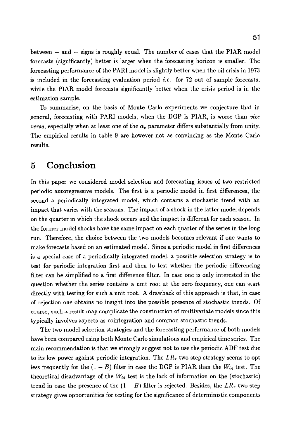between  $+$  and  $-$  signs is roughly equal. The number of cases that the PIAR model forecasts (significantly) better is larger when the forecasting horizon is smaller. The forecasting performance of the PARI model is slightly better when the oil crisis in 1973 is included in the forecasting evaluation period *i.e.* for 72 out of sample forecasts, while the PIAR model forecasts significantly better when the crisis period is in the estimation sample.

To summarize, on the basis of Monte Carlo experiments we conjecture that in general, forecasting with PARI models, when the DGP is PIAR, is worse than *vice versa*, especially when at least one of the  $\alpha_s$  parameter differs substantially from unity. The empirical results in table 9 are however not as convincing as the Monte Carlo results.

# **5 Conclusion**

In this paper we considered model selection and forecasting issues of two restricted periodic autoregressive models. The first is a periodic model in first differences, the second a periodically integrated model, which contains a stochastic trend with an impact that varies with the seasons. The impact of a shock in the latter model depends on the quarter in which the shock occurs and the impact is different for each season. In the former model shocks have the same impact on each quarter of the series in the long run. Therefore, the choice between the two models becomes relevant if one wants to make forecasts based on an estimated model. Since a periodic model in first differences is a special case of a periodically integrated model, a possible selection strategy is to test for periodic integration first and then to test whether the periodic differencing filter can be simplified to a first difference filter. In case one is only interested in the question whether the series contains a unit root at the zero frequency, one can start directly with testing for such a unit root. A drawback of this approach is that, in case of rejection one obtains no insight into the possible presence of stochastic trends. Of course, such a result may complicate the construction of multivariate models since this typically involves aspects as cointegration and common stochastic trends.

The two model selection strategies and the forecasting performance of both models have been compared using both Monte Carlo simulations and empirical time series. The main recommendation is that we strongly suggest not to use the periodic ADF test due to its low power against periodic integration. The  $LR_{\tau}$  two-step strategy seems to opt less frequently for the  $(1 - B)$  filter in case the DGP is PIAR than the  $W_{i4}$  test. The theoretical disadvantage of the  $W_{i4}$  test is the lack of information on the (stochastic) trend in case the presence of the  $(1 - B)$  filter is rejected. Besides, the  $LR_{\tau}$  two-step strategy gives opportunities for testing for the significance of deterministic components